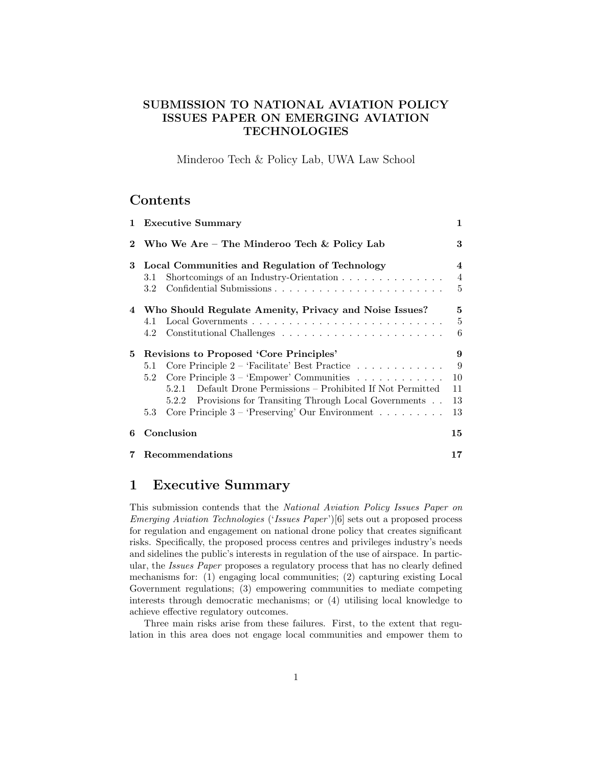## SUBMISSION TO NATIONAL AVIATION POLICY ISSUES PAPER ON EMERGING AVIATION **TECHNOLOGIES**

Minderoo Tech & Policy Lab, UWA Law School

## Contents

|             | 1 Executive Summary                                                                                                                                                                                                                                                                                                                                   | 1                              |
|-------------|-------------------------------------------------------------------------------------------------------------------------------------------------------------------------------------------------------------------------------------------------------------------------------------------------------------------------------------------------------|--------------------------------|
| $\mathbf 2$ | Who We Are – The Minderoo Tech $\&$ Policy Lab                                                                                                                                                                                                                                                                                                        | 3                              |
| 3           | Local Communities and Regulation of Technology<br>Shortcomings of an Industry-Orientation $\ldots \ldots \ldots \ldots$<br>3.1<br>3.2                                                                                                                                                                                                                 | 4<br>$\overline{4}$<br>5       |
|             | 4 Who Should Regulate Amenity, Privacy and Noise Issues?<br>4.1<br>4.2                                                                                                                                                                                                                                                                                | 5<br>$\overline{5}$<br>6       |
|             | 5 Revisions to Proposed 'Core Principles'<br>Core Principle $2$ – 'Facilitate' Best Practice<br>5.1<br>Core Principle $3 - 'Empower'$ Communities<br>5.2<br>Default Drone Permissions – Prohibited If Not Permitted<br>5.2.1<br>5.2.2 Provisions for Transiting Through Local Governments<br>Core Principle $3$ – 'Preserving' Our Environment<br>5.3 | 9<br>9<br>10<br>11<br>13<br>13 |
| 6           | Conclusion                                                                                                                                                                                                                                                                                                                                            | 15                             |
|             | Recommendations                                                                                                                                                                                                                                                                                                                                       | 17                             |

# 1 Executive Summary

This submission contends that the National Aviation Policy Issues Paper on Emerging Aviation Technologies ('Issues Paper')[6] sets out a proposed process for regulation and engagement on national drone policy that creates significant risks. Specifically, the proposed process centres and privileges industry's needs and sidelines the public's interests in regulation of the use of airspace. In particular, the Issues Paper proposes a regulatory process that has no clearly defined mechanisms for: (1) engaging local communities; (2) capturing existing Local Government regulations; (3) empowering communities to mediate competing interests through democratic mechanisms; or (4) utilising local knowledge to achieve effective regulatory outcomes.

Three main risks arise from these failures. First, to the extent that regulation in this area does not engage local communities and empower them to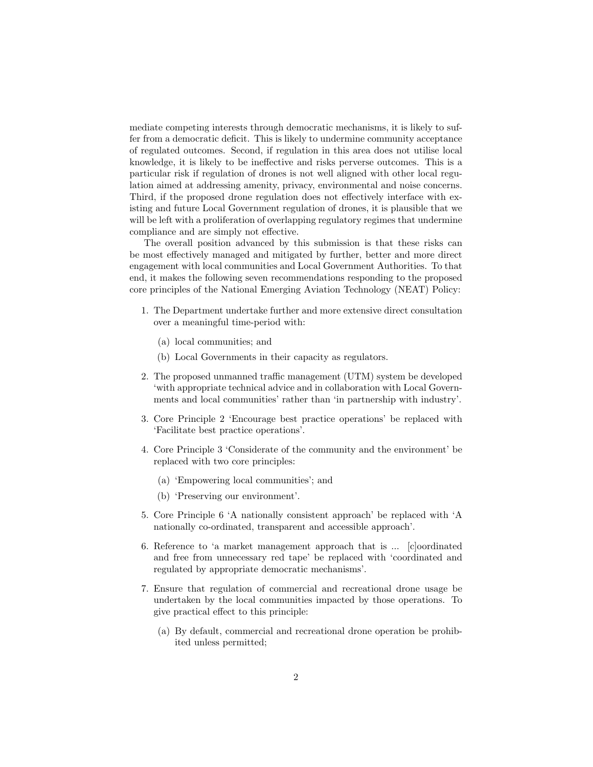mediate competing interests through democratic mechanisms, it is likely to suffer from a democratic deficit. This is likely to undermine community acceptance of regulated outcomes. Second, if regulation in this area does not utilise local knowledge, it is likely to be ineffective and risks perverse outcomes. This is a particular risk if regulation of drones is not well aligned with other local regulation aimed at addressing amenity, privacy, environmental and noise concerns. Third, if the proposed drone regulation does not effectively interface with existing and future Local Government regulation of drones, it is plausible that we will be left with a proliferation of overlapping regulatory regimes that undermine compliance and are simply not effective.

The overall position advanced by this submission is that these risks can be most effectively managed and mitigated by further, better and more direct engagement with local communities and Local Government Authorities. To that end, it makes the following seven recommendations responding to the proposed core principles of the National Emerging Aviation Technology (NEAT) Policy:

- 1. The Department undertake further and more extensive direct consultation over a meaningful time-period with:
	- (a) local communities; and
	- (b) Local Governments in their capacity as regulators.
- 2. The proposed unmanned traffic management (UTM) system be developed 'with appropriate technical advice and in collaboration with Local Governments and local communities' rather than 'in partnership with industry'.
- 3. Core Principle 2 'Encourage best practice operations' be replaced with 'Facilitate best practice operations'.
- 4. Core Principle 3 'Considerate of the community and the environment' be replaced with two core principles:
	- (a) 'Empowering local communities'; and
	- (b) 'Preserving our environment'.
- 5. Core Principle 6 'A nationally consistent approach' be replaced with 'A nationally co-ordinated, transparent and accessible approach'.
- 6. Reference to 'a market management approach that is ... [c]oordinated and free from unnecessary red tape' be replaced with 'coordinated and regulated by appropriate democratic mechanisms'.
- 7. Ensure that regulation of commercial and recreational drone usage be undertaken by the local communities impacted by those operations. To give practical effect to this principle:
	- (a) By default, commercial and recreational drone operation be prohibited unless permitted;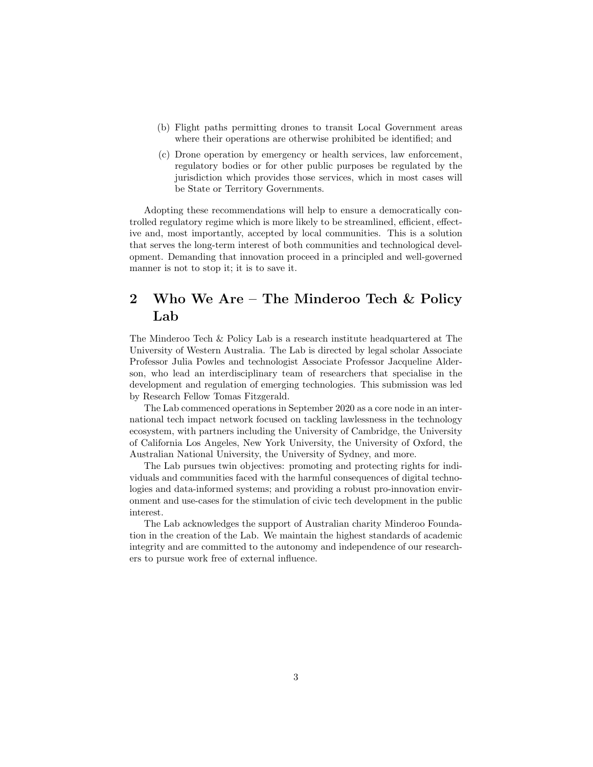- (b) Flight paths permitting drones to transit Local Government areas where their operations are otherwise prohibited be identified; and
- (c) Drone operation by emergency or health services, law enforcement, regulatory bodies or for other public purposes be regulated by the jurisdiction which provides those services, which in most cases will be State or Territory Governments.

Adopting these recommendations will help to ensure a democratically controlled regulatory regime which is more likely to be streamlined, efficient, effective and, most importantly, accepted by local communities. This is a solution that serves the long-term interest of both communities and technological development. Demanding that innovation proceed in a principled and well-governed manner is not to stop it; it is to save it.

# 2 Who We Are – The Minderoo Tech & Policy Lab

The Minderoo Tech & Policy Lab is a research institute headquartered at The University of Western Australia. The Lab is directed by legal scholar Associate Professor Julia Powles and technologist Associate Professor Jacqueline Alderson, who lead an interdisciplinary team of researchers that specialise in the development and regulation of emerging technologies. This submission was led by Research Fellow Tomas Fitzgerald.

The Lab commenced operations in September 2020 as a core node in an international tech impact network focused on tackling lawlessness in the technology ecosystem, with partners including the University of Cambridge, the University of California Los Angeles, New York University, the University of Oxford, the Australian National University, the University of Sydney, and more.

The Lab pursues twin objectives: promoting and protecting rights for individuals and communities faced with the harmful consequences of digital technologies and data-informed systems; and providing a robust pro-innovation environment and use-cases for the stimulation of civic tech development in the public interest.

The Lab acknowledges the support of Australian charity Minderoo Foundation in the creation of the Lab. We maintain the highest standards of academic integrity and are committed to the autonomy and independence of our researchers to pursue work free of external influence.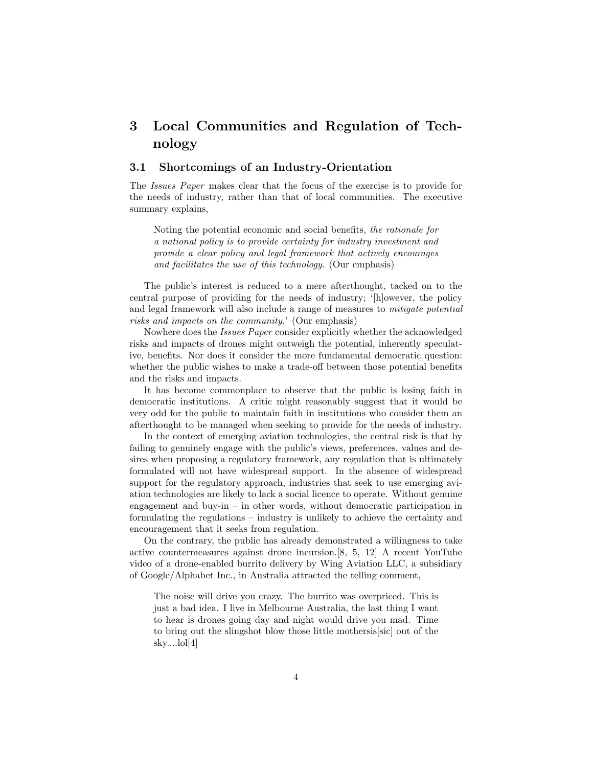# 3 Local Communities and Regulation of Technology

### 3.1 Shortcomings of an Industry-Orientation

The Issues Paper makes clear that the focus of the exercise is to provide for the needs of industry, rather than that of local communities. The executive summary explains,

Noting the potential economic and social benefits, the rationale for a national policy is to provide certainty for industry investment and provide a clear policy and legal framework that actively encourages and facilitates the use of this technology. (Our emphasis)

The public's interest is reduced to a mere afterthought, tacked on to the central purpose of providing for the needs of industry; '[h]owever, the policy and legal framework will also include a range of measures to mitigate potential risks and impacts on the community.' (Our emphasis)

Nowhere does the Issues Paper consider explicitly whether the acknowledged risks and impacts of drones might outweigh the potential, inherently speculative, benefits. Nor does it consider the more fundamental democratic question: whether the public wishes to make a trade-off between those potential benefits and the risks and impacts.

It has become commonplace to observe that the public is losing faith in democratic institutions. A critic might reasonably suggest that it would be very odd for the public to maintain faith in institutions who consider them an afterthought to be managed when seeking to provide for the needs of industry.

In the context of emerging aviation technologies, the central risk is that by failing to genuinely engage with the public's views, preferences, values and desires when proposing a regulatory framework, any regulation that is ultimately formulated will not have widespread support. In the absence of widespread support for the regulatory approach, industries that seek to use emerging aviation technologies are likely to lack a social licence to operate. Without genuine engagement and buy-in – in other words, without democratic participation in formulating the regulations – industry is unlikely to achieve the certainty and encouragement that it seeks from regulation.

On the contrary, the public has already demonstrated a willingness to take active countermeasures against drone incursion.[8, 5, 12] A recent YouTube video of a drone-enabled burrito delivery by Wing Aviation LLC, a subsidiary of Google/Alphabet Inc., in Australia attracted the telling comment,

The noise will drive you crazy. The burrito was overpriced. This is just a bad idea. I live in Melbourne Australia, the last thing I want to hear is drones going day and night would drive you mad. Time to bring out the slingshot blow those little mothersis[sic] out of the sky....lol[4]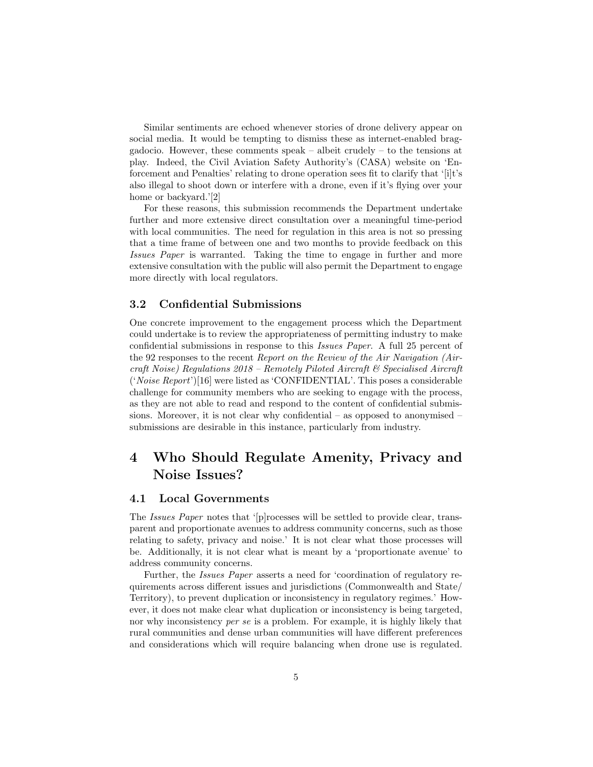Similar sentiments are echoed whenever stories of drone delivery appear on social media. It would be tempting to dismiss these as internet-enabled braggadocio. However, these comments speak – albeit crudely – to the tensions at play. Indeed, the Civil Aviation Safety Authority's (CASA) website on 'Enforcement and Penalties' relating to drone operation sees fit to clarify that '[i]t's also illegal to shoot down or interfere with a drone, even if it's flying over your home or backyard.'[2]

For these reasons, this submission recommends the Department undertake further and more extensive direct consultation over a meaningful time-period with local communities. The need for regulation in this area is not so pressing that a time frame of between one and two months to provide feedback on this Issues Paper is warranted. Taking the time to engage in further and more extensive consultation with the public will also permit the Department to engage more directly with local regulators.

### 3.2 Confidential Submissions

One concrete improvement to the engagement process which the Department could undertake is to review the appropriateness of permitting industry to make confidential submissions in response to this Issues Paper. A full 25 percent of the 92 responses to the recent Report on the Review of the Air Navigation (Aircraft Noise) Regulations 2018 – Remotely Piloted Aircraft & Specialised Aircraft ('Noise Report')[16] were listed as 'CONFIDENTIAL'. This poses a considerable challenge for community members who are seeking to engage with the process, as they are not able to read and respond to the content of confidential submissions. Moreover, it is not clear why confidential – as opposed to anonymised – submissions are desirable in this instance, particularly from industry.

# 4 Who Should Regulate Amenity, Privacy and Noise Issues?

### 4.1 Local Governments

The Issues Paper notes that '[p]rocesses will be settled to provide clear, transparent and proportionate avenues to address community concerns, such as those relating to safety, privacy and noise.' It is not clear what those processes will be. Additionally, it is not clear what is meant by a 'proportionate avenue' to address community concerns.

Further, the Issues Paper asserts a need for 'coordination of regulatory requirements across different issues and jurisdictions (Commonwealth and State/ Territory), to prevent duplication or inconsistency in regulatory regimes.' However, it does not make clear what duplication or inconsistency is being targeted, nor why inconsistency *per se* is a problem. For example, it is highly likely that rural communities and dense urban communities will have different preferences and considerations which will require balancing when drone use is regulated.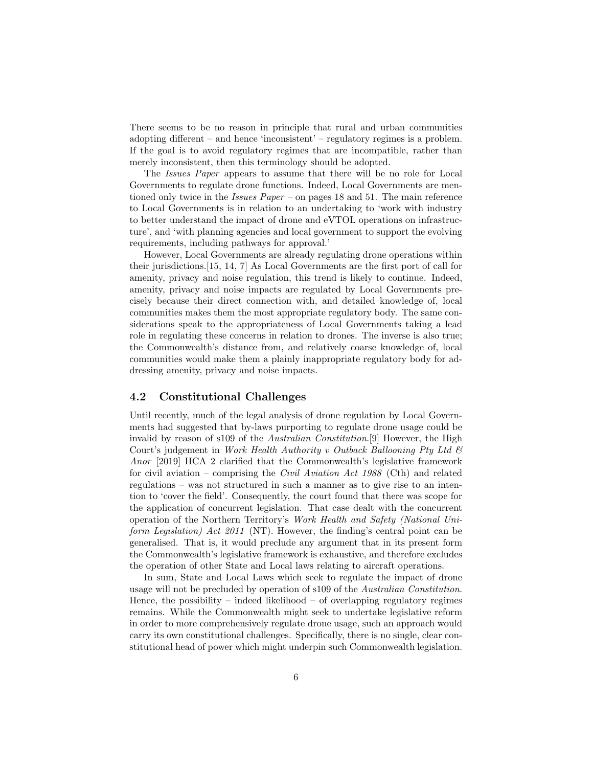There seems to be no reason in principle that rural and urban communities adopting different – and hence 'inconsistent' – regulatory regimes is a problem. If the goal is to avoid regulatory regimes that are incompatible, rather than merely inconsistent, then this terminology should be adopted.

The Issues Paper appears to assume that there will be no role for Local Governments to regulate drone functions. Indeed, Local Governments are mentioned only twice in the *Issues Paper* – on pages 18 and 51. The main reference to Local Governments is in relation to an undertaking to 'work with industry to better understand the impact of drone and eVTOL operations on infrastructure', and 'with planning agencies and local government to support the evolving requirements, including pathways for approval.'

However, Local Governments are already regulating drone operations within their jurisdictions.[15, 14, 7] As Local Governments are the first port of call for amenity, privacy and noise regulation, this trend is likely to continue. Indeed, amenity, privacy and noise impacts are regulated by Local Governments precisely because their direct connection with, and detailed knowledge of, local communities makes them the most appropriate regulatory body. The same considerations speak to the appropriateness of Local Governments taking a lead role in regulating these concerns in relation to drones. The inverse is also true; the Commonwealth's distance from, and relatively coarse knowledge of, local communities would make them a plainly inappropriate regulatory body for addressing amenity, privacy and noise impacts.

### 4.2 Constitutional Challenges

Until recently, much of the legal analysis of drone regulation by Local Governments had suggested that by-laws purporting to regulate drone usage could be invalid by reason of s109 of the Australian Constitution.[9] However, the High Court's judgement in Work Health Authority v Outback Ballooning Pty Ltd  $\mathcal C$ Anor [2019] HCA 2 clarified that the Commonwealth's legislative framework for civil aviation – comprising the Civil Aviation Act 1988 (Cth) and related regulations – was not structured in such a manner as to give rise to an intention to 'cover the field'. Consequently, the court found that there was scope for the application of concurrent legislation. That case dealt with the concurrent operation of the Northern Territory's Work Health and Safety (National Uniform Legislation) Act 2011 (NT). However, the finding's central point can be generalised. That is, it would preclude any argument that in its present form the Commonwealth's legislative framework is exhaustive, and therefore excludes the operation of other State and Local laws relating to aircraft operations.

In sum, State and Local Laws which seek to regulate the impact of drone usage will not be precluded by operation of s109 of the Australian Constitution. Hence, the possibility – indeed likelihood – of overlapping regulatory regimes remains. While the Commonwealth might seek to undertake legislative reform in order to more comprehensively regulate drone usage, such an approach would carry its own constitutional challenges. Specifically, there is no single, clear constitutional head of power which might underpin such Commonwealth legislation.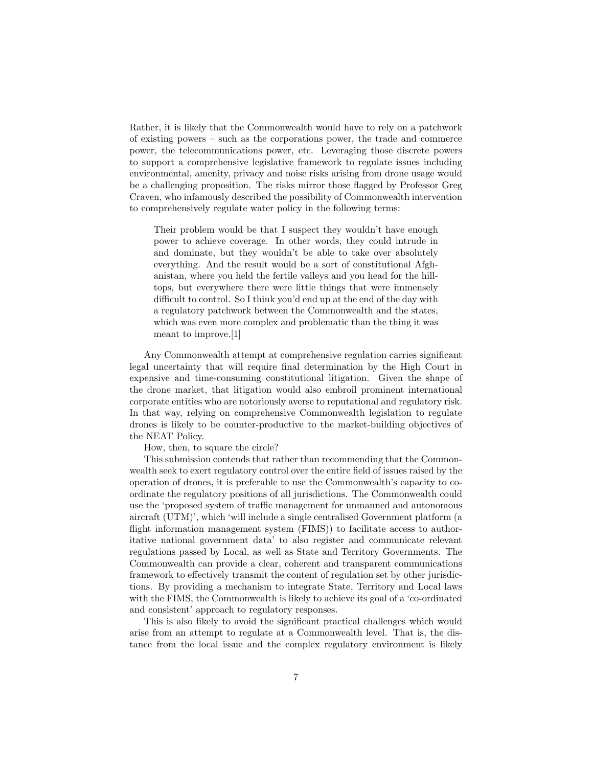Rather, it is likely that the Commonwealth would have to rely on a patchwork of existing powers – such as the corporations power, the trade and commerce power, the telecommunications power, etc. Leveraging those discrete powers to support a comprehensive legislative framework to regulate issues including environmental, amenity, privacy and noise risks arising from drone usage would be a challenging proposition. The risks mirror those flagged by Professor Greg Craven, who infamously described the possibility of Commonwealth intervention to comprehensively regulate water policy in the following terms:

Their problem would be that I suspect they wouldn't have enough power to achieve coverage. In other words, they could intrude in and dominate, but they wouldn't be able to take over absolutely everything. And the result would be a sort of constitutional Afghanistan, where you held the fertile valleys and you head for the hilltops, but everywhere there were little things that were immensely difficult to control. So I think you'd end up at the end of the day with a regulatory patchwork between the Commonwealth and the states, which was even more complex and problematic than the thing it was meant to improve.[1]

Any Commonwealth attempt at comprehensive regulation carries significant legal uncertainty that will require final determination by the High Court in expensive and time-consuming constitutional litigation. Given the shape of the drone market, that litigation would also embroil prominent international corporate entities who are notoriously averse to reputational and regulatory risk. In that way, relying on comprehensive Commonwealth legislation to regulate drones is likely to be counter-productive to the market-building objectives of the NEAT Policy.

How, then, to square the circle?

This submission contends that rather than recommending that the Commonwealth seek to exert regulatory control over the entire field of issues raised by the operation of drones, it is preferable to use the Commonwealth's capacity to coordinate the regulatory positions of all jurisdictions. The Commonwealth could use the 'proposed system of traffic management for unmanned and autonomous aircraft (UTM)', which 'will include a single centralised Government platform (a flight information management system (FIMS)) to facilitate access to authoritative national government data' to also register and communicate relevant regulations passed by Local, as well as State and Territory Governments. The Commonwealth can provide a clear, coherent and transparent communications framework to effectively transmit the content of regulation set by other jurisdictions. By providing a mechanism to integrate State, Territory and Local laws with the FIMS, the Commonwealth is likely to achieve its goal of a 'co-ordinated and consistent' approach to regulatory responses.

This is also likely to avoid the significant practical challenges which would arise from an attempt to regulate at a Commonwealth level. That is, the distance from the local issue and the complex regulatory environment is likely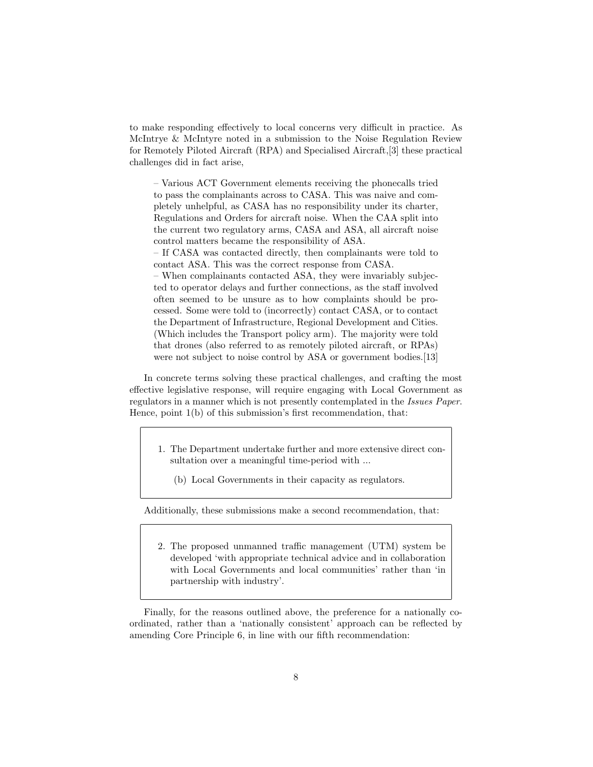to make responding effectively to local concerns very difficult in practice. As McIntrye & McIntyre noted in a submission to the Noise Regulation Review for Remotely Piloted Aircraft (RPA) and Specialised Aircraft,[3] these practical challenges did in fact arise,

– Various ACT Government elements receiving the phonecalls tried to pass the complainants across to CASA. This was naive and completely unhelpful, as CASA has no responsibility under its charter, Regulations and Orders for aircraft noise. When the CAA split into the current two regulatory arms, CASA and ASA, all aircraft noise control matters became the responsibility of ASA.

– If CASA was contacted directly, then complainants were told to contact ASA. This was the correct response from CASA.

– When complainants contacted ASA, they were invariably subjected to operator delays and further connections, as the staff involved often seemed to be unsure as to how complaints should be processed. Some were told to (incorrectly) contact CASA, or to contact the Department of Infrastructure, Regional Development and Cities. (Which includes the Transport policy arm). The majority were told that drones (also referred to as remotely piloted aircraft, or RPAs) were not subject to noise control by ASA or government bodies.[13]

In concrete terms solving these practical challenges, and crafting the most effective legislative response, will require engaging with Local Government as regulators in a manner which is not presently contemplated in the Issues Paper. Hence, point 1(b) of this submission's first recommendation, that:

- 1. The Department undertake further and more extensive direct consultation over a meaningful time-period with ...
	- (b) Local Governments in their capacity as regulators.

Additionally, these submissions make a second recommendation, that:

2. The proposed unmanned traffic management (UTM) system be developed 'with appropriate technical advice and in collaboration with Local Governments and local communities' rather than 'in partnership with industry'.

Finally, for the reasons outlined above, the preference for a nationally coordinated, rather than a 'nationally consistent' approach can be reflected by amending Core Principle 6, in line with our fifth recommendation: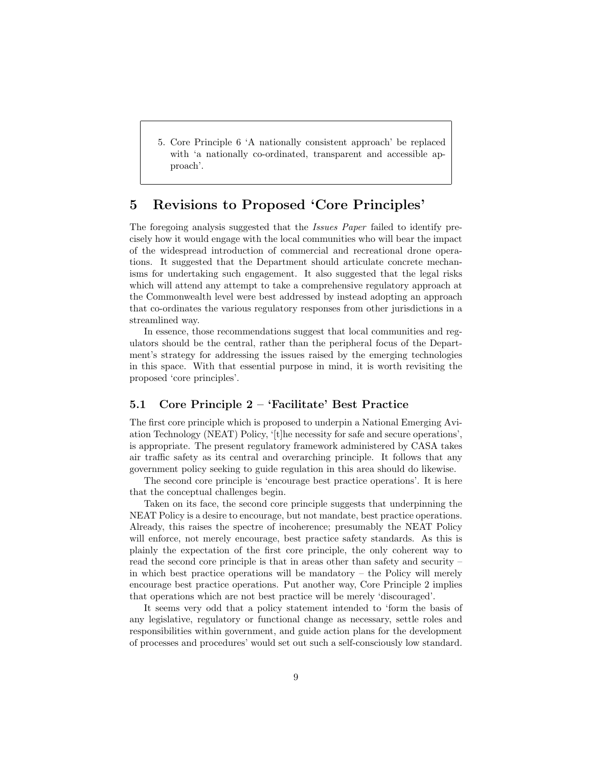5. Core Principle 6 'A nationally consistent approach' be replaced with 'a nationally co-ordinated, transparent and accessible approach'.

# 5 Revisions to Proposed 'Core Principles'

The foregoing analysis suggested that the *Issues Paper* failed to identify precisely how it would engage with the local communities who will bear the impact of the widespread introduction of commercial and recreational drone operations. It suggested that the Department should articulate concrete mechanisms for undertaking such engagement. It also suggested that the legal risks which will attend any attempt to take a comprehensive regulatory approach at the Commonwealth level were best addressed by instead adopting an approach that co-ordinates the various regulatory responses from other jurisdictions in a streamlined way.

In essence, those recommendations suggest that local communities and regulators should be the central, rather than the peripheral focus of the Department's strategy for addressing the issues raised by the emerging technologies in this space. With that essential purpose in mind, it is worth revisiting the proposed 'core principles'.

### 5.1 Core Principle 2 – 'Facilitate' Best Practice

The first core principle which is proposed to underpin a National Emerging Aviation Technology (NEAT) Policy, '[t]he necessity for safe and secure operations', is appropriate. The present regulatory framework administered by CASA takes air traffic safety as its central and overarching principle. It follows that any government policy seeking to guide regulation in this area should do likewise.

The second core principle is 'encourage best practice operations'. It is here that the conceptual challenges begin.

Taken on its face, the second core principle suggests that underpinning the NEAT Policy is a desire to encourage, but not mandate, best practice operations. Already, this raises the spectre of incoherence; presumably the NEAT Policy will enforce, not merely encourage, best practice safety standards. As this is plainly the expectation of the first core principle, the only coherent way to read the second core principle is that in areas other than safety and security – in which best practice operations will be mandatory – the Policy will merely encourage best practice operations. Put another way, Core Principle 2 implies that operations which are not best practice will be merely 'discouraged'.

It seems very odd that a policy statement intended to 'form the basis of any legislative, regulatory or functional change as necessary, settle roles and responsibilities within government, and guide action plans for the development of processes and procedures' would set out such a self-consciously low standard.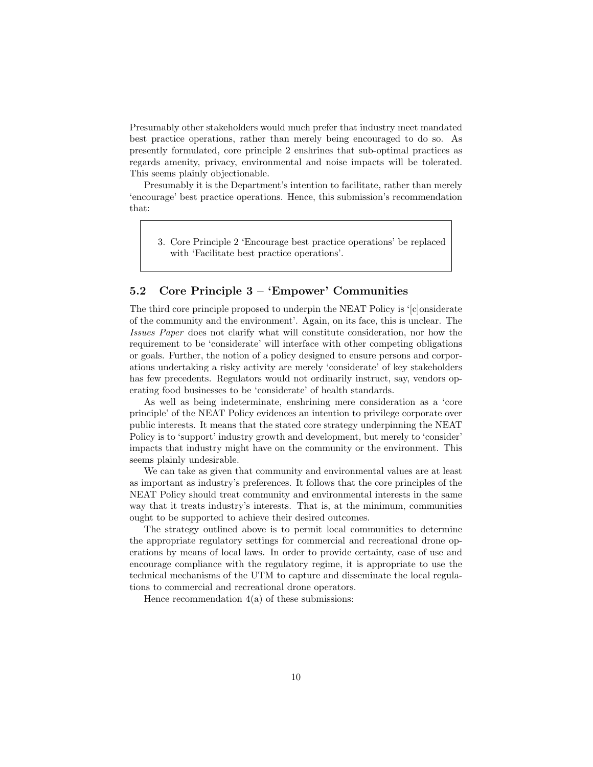Presumably other stakeholders would much prefer that industry meet mandated best practice operations, rather than merely being encouraged to do so. As presently formulated, core principle 2 enshrines that sub-optimal practices as regards amenity, privacy, environmental and noise impacts will be tolerated. This seems plainly objectionable.

Presumably it is the Department's intention to facilitate, rather than merely 'encourage' best practice operations. Hence, this submission's recommendation that:

3. Core Principle 2 'Encourage best practice operations' be replaced with 'Facilitate best practice operations'.

### 5.2 Core Principle 3 – 'Empower' Communities

The third core principle proposed to underpin the NEAT Policy is '[c]onsiderate of the community and the environment'. Again, on its face, this is unclear. The Issues Paper does not clarify what will constitute consideration, nor how the requirement to be 'considerate' will interface with other competing obligations or goals. Further, the notion of a policy designed to ensure persons and corporations undertaking a risky activity are merely 'considerate' of key stakeholders has few precedents. Regulators would not ordinarily instruct, say, vendors operating food businesses to be 'considerate' of health standards.

As well as being indeterminate, enshrining mere consideration as a 'core principle' of the NEAT Policy evidences an intention to privilege corporate over public interests. It means that the stated core strategy underpinning the NEAT Policy is to 'support' industry growth and development, but merely to 'consider' impacts that industry might have on the community or the environment. This seems plainly undesirable.

We can take as given that community and environmental values are at least as important as industry's preferences. It follows that the core principles of the NEAT Policy should treat community and environmental interests in the same way that it treats industry's interests. That is, at the minimum, communities ought to be supported to achieve their desired outcomes.

The strategy outlined above is to permit local communities to determine the appropriate regulatory settings for commercial and recreational drone operations by means of local laws. In order to provide certainty, ease of use and encourage compliance with the regulatory regime, it is appropriate to use the technical mechanisms of the UTM to capture and disseminate the local regulations to commercial and recreational drone operators.

Hence recommendation  $4(a)$  of these submissions: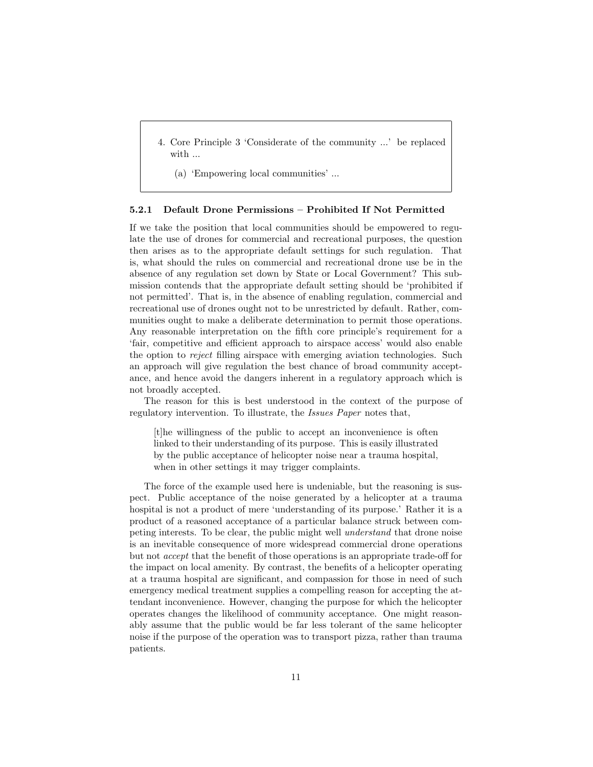4. Core Principle 3 'Considerate of the community ...' be replaced with ...

(a) 'Empowering local communities' ...

#### 5.2.1 Default Drone Permissions – Prohibited If Not Permitted

If we take the position that local communities should be empowered to regulate the use of drones for commercial and recreational purposes, the question then arises as to the appropriate default settings for such regulation. That is, what should the rules on commercial and recreational drone use be in the absence of any regulation set down by State or Local Government? This submission contends that the appropriate default setting should be 'prohibited if not permitted'. That is, in the absence of enabling regulation, commercial and recreational use of drones ought not to be unrestricted by default. Rather, communities ought to make a deliberate determination to permit those operations. Any reasonable interpretation on the fifth core principle's requirement for a 'fair, competitive and efficient approach to airspace access' would also enable the option to reject filling airspace with emerging aviation technologies. Such an approach will give regulation the best chance of broad community acceptance, and hence avoid the dangers inherent in a regulatory approach which is not broadly accepted.

The reason for this is best understood in the context of the purpose of regulatory intervention. To illustrate, the Issues Paper notes that,

[t]he willingness of the public to accept an inconvenience is often linked to their understanding of its purpose. This is easily illustrated by the public acceptance of helicopter noise near a trauma hospital, when in other settings it may trigger complaints.

The force of the example used here is undeniable, but the reasoning is suspect. Public acceptance of the noise generated by a helicopter at a trauma hospital is not a product of mere 'understanding of its purpose.' Rather it is a product of a reasoned acceptance of a particular balance struck between competing interests. To be clear, the public might well understand that drone noise is an inevitable consequence of more widespread commercial drone operations but not accept that the benefit of those operations is an appropriate trade-off for the impact on local amenity. By contrast, the benefits of a helicopter operating at a trauma hospital are significant, and compassion for those in need of such emergency medical treatment supplies a compelling reason for accepting the attendant inconvenience. However, changing the purpose for which the helicopter operates changes the likelihood of community acceptance. One might reasonably assume that the public would be far less tolerant of the same helicopter noise if the purpose of the operation was to transport pizza, rather than trauma patients.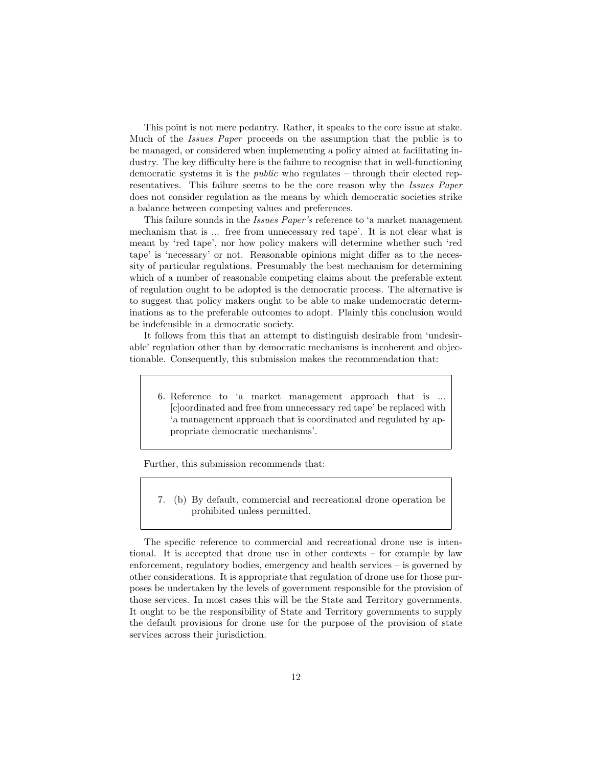This point is not mere pedantry. Rather, it speaks to the core issue at stake. Much of the Issues Paper proceeds on the assumption that the public is to be managed, or considered when implementing a policy aimed at facilitating industry. The key difficulty here is the failure to recognise that in well-functioning democratic systems it is the public who regulates – through their elected representatives. This failure seems to be the core reason why the Issues Paper does not consider regulation as the means by which democratic societies strike a balance between competing values and preferences.

This failure sounds in the *Issues Paper's* reference to 'a market management mechanism that is ... free from unnecessary red tape'. It is not clear what is meant by 'red tape', nor how policy makers will determine whether such 'red tape' is 'necessary' or not. Reasonable opinions might differ as to the necessity of particular regulations. Presumably the best mechanism for determining which of a number of reasonable competing claims about the preferable extent of regulation ought to be adopted is the democratic process. The alternative is to suggest that policy makers ought to be able to make undemocratic determinations as to the preferable outcomes to adopt. Plainly this conclusion would be indefensible in a democratic society.

It follows from this that an attempt to distinguish desirable from 'undesirable' regulation other than by democratic mechanisms is incoherent and objectionable. Consequently, this submission makes the recommendation that:

6. Reference to 'a market management approach that is ... [c]oordinated and free from unnecessary red tape' be replaced with 'a management approach that is coordinated and regulated by appropriate democratic mechanisms'.

Further, this submission recommends that:

7. (b) By default, commercial and recreational drone operation be prohibited unless permitted.

The specific reference to commercial and recreational drone use is intentional. It is accepted that drone use in other contexts – for example by law enforcement, regulatory bodies, emergency and health services – is governed by other considerations. It is appropriate that regulation of drone use for those purposes be undertaken by the levels of government responsible for the provision of those services. In most cases this will be the State and Territory governments. It ought to be the responsibility of State and Territory governments to supply the default provisions for drone use for the purpose of the provision of state services across their jurisdiction.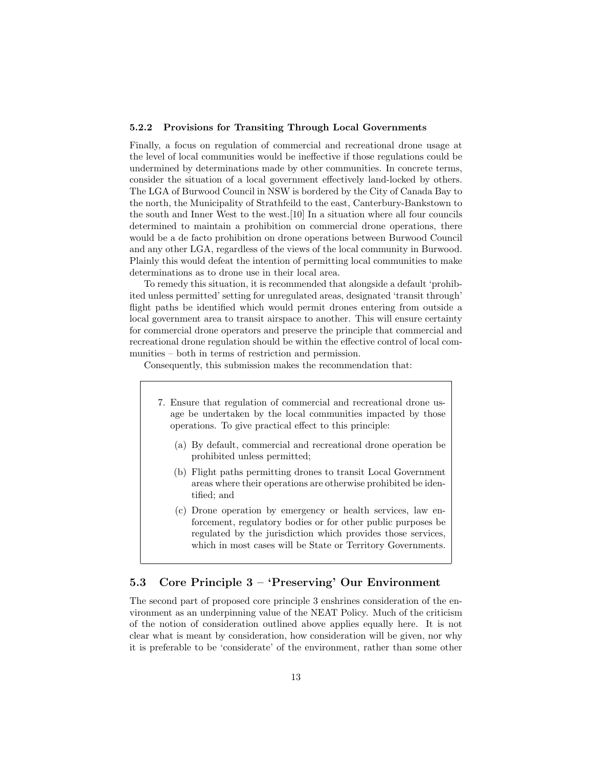#### 5.2.2 Provisions for Transiting Through Local Governments

Finally, a focus on regulation of commercial and recreational drone usage at the level of local communities would be ineffective if those regulations could be undermined by determinations made by other communities. In concrete terms, consider the situation of a local government effectively land-locked by others. The LGA of Burwood Council in NSW is bordered by the City of Canada Bay to the north, the Municipality of Strathfeild to the east, Canterbury-Bankstown to the south and Inner West to the west.[10] In a situation where all four councils determined to maintain a prohibition on commercial drone operations, there would be a de facto prohibition on drone operations between Burwood Council and any other LGA, regardless of the views of the local community in Burwood. Plainly this would defeat the intention of permitting local communities to make determinations as to drone use in their local area.

To remedy this situation, it is recommended that alongside a default 'prohibited unless permitted' setting for unregulated areas, designated 'transit through' flight paths be identified which would permit drones entering from outside a local government area to transit airspace to another. This will ensure certainty for commercial drone operators and preserve the principle that commercial and recreational drone regulation should be within the effective control of local communities – both in terms of restriction and permission.

Consequently, this submission makes the recommendation that:

- 7. Ensure that regulation of commercial and recreational drone usage be undertaken by the local communities impacted by those operations. To give practical effect to this principle:
	- (a) By default, commercial and recreational drone operation be prohibited unless permitted;
	- (b) Flight paths permitting drones to transit Local Government areas where their operations are otherwise prohibited be identified; and
	- (c) Drone operation by emergency or health services, law enforcement, regulatory bodies or for other public purposes be regulated by the jurisdiction which provides those services, which in most cases will be State or Territory Governments.

## 5.3 Core Principle 3 – 'Preserving' Our Environment

The second part of proposed core principle 3 enshrines consideration of the environment as an underpinning value of the NEAT Policy. Much of the criticism of the notion of consideration outlined above applies equally here. It is not clear what is meant by consideration, how consideration will be given, nor why it is preferable to be 'considerate' of the environment, rather than some other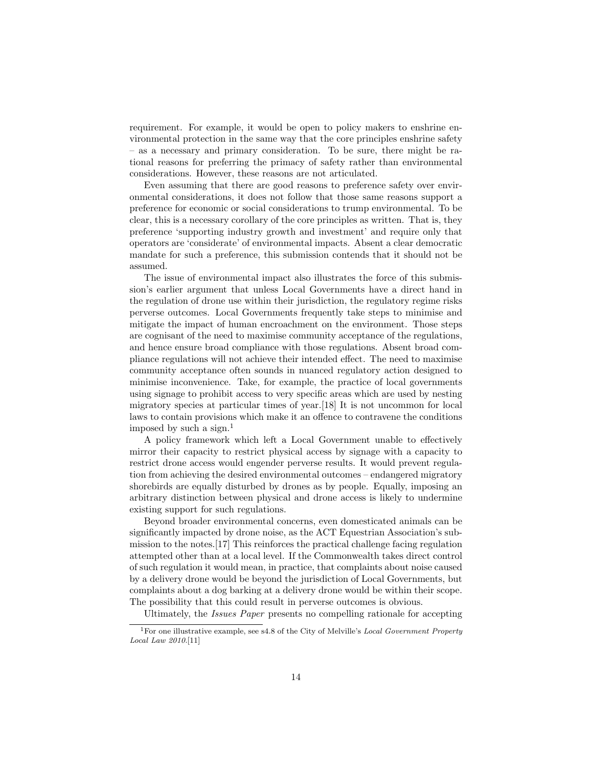requirement. For example, it would be open to policy makers to enshrine environmental protection in the same way that the core principles enshrine safety – as a necessary and primary consideration. To be sure, there might be rational reasons for preferring the primacy of safety rather than environmental considerations. However, these reasons are not articulated.

Even assuming that there are good reasons to preference safety over environmental considerations, it does not follow that those same reasons support a preference for economic or social considerations to trump environmental. To be clear, this is a necessary corollary of the core principles as written. That is, they preference 'supporting industry growth and investment' and require only that operators are 'considerate' of environmental impacts. Absent a clear democratic mandate for such a preference, this submission contends that it should not be assumed.

The issue of environmental impact also illustrates the force of this submission's earlier argument that unless Local Governments have a direct hand in the regulation of drone use within their jurisdiction, the regulatory regime risks perverse outcomes. Local Governments frequently take steps to minimise and mitigate the impact of human encroachment on the environment. Those steps are cognisant of the need to maximise community acceptance of the regulations, and hence ensure broad compliance with those regulations. Absent broad compliance regulations will not achieve their intended effect. The need to maximise community acceptance often sounds in nuanced regulatory action designed to minimise inconvenience. Take, for example, the practice of local governments using signage to prohibit access to very specific areas which are used by nesting migratory species at particular times of year.[18] It is not uncommon for local laws to contain provisions which make it an offence to contravene the conditions imposed by such a sign.<sup>1</sup>

A policy framework which left a Local Government unable to effectively mirror their capacity to restrict physical access by signage with a capacity to restrict drone access would engender perverse results. It would prevent regulation from achieving the desired environmental outcomes – endangered migratory shorebirds are equally disturbed by drones as by people. Equally, imposing an arbitrary distinction between physical and drone access is likely to undermine existing support for such regulations.

Beyond broader environmental concerns, even domesticated animals can be significantly impacted by drone noise, as the ACT Equestrian Association's submission to the notes.[17] This reinforces the practical challenge facing regulation attempted other than at a local level. If the Commonwealth takes direct control of such regulation it would mean, in practice, that complaints about noise caused by a delivery drone would be beyond the jurisdiction of Local Governments, but complaints about a dog barking at a delivery drone would be within their scope. The possibility that this could result in perverse outcomes is obvious.

Ultimately, the Issues Paper presents no compelling rationale for accepting

<sup>&</sup>lt;sup>1</sup>For one illustrative example, see s4.8 of the City of Melville's *Local Government Property* Local Law 2010.[11]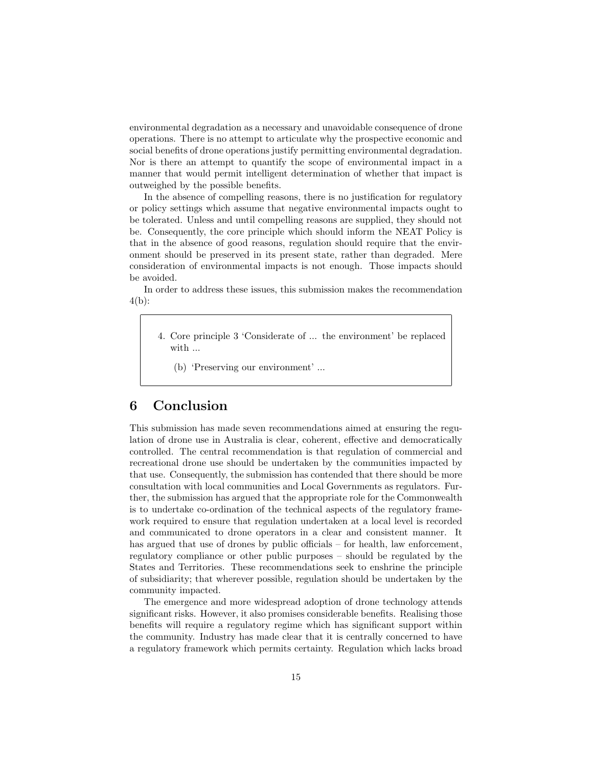environmental degradation as a necessary and unavoidable consequence of drone operations. There is no attempt to articulate why the prospective economic and social benefits of drone operations justify permitting environmental degradation. Nor is there an attempt to quantify the scope of environmental impact in a manner that would permit intelligent determination of whether that impact is outweighed by the possible benefits.

In the absence of compelling reasons, there is no justification for regulatory or policy settings which assume that negative environmental impacts ought to be tolerated. Unless and until compelling reasons are supplied, they should not be. Consequently, the core principle which should inform the NEAT Policy is that in the absence of good reasons, regulation should require that the environment should be preserved in its present state, rather than degraded. Mere consideration of environmental impacts is not enough. Those impacts should be avoided.

In order to address these issues, this submission makes the recommendation 4(b):

- 4. Core principle 3 'Considerate of ... the environment' be replaced with ...
	- (b) 'Preserving our environment' ...

# 6 Conclusion

This submission has made seven recommendations aimed at ensuring the regulation of drone use in Australia is clear, coherent, effective and democratically controlled. The central recommendation is that regulation of commercial and recreational drone use should be undertaken by the communities impacted by that use. Consequently, the submission has contended that there should be more consultation with local communities and Local Governments as regulators. Further, the submission has argued that the appropriate role for the Commonwealth is to undertake co-ordination of the technical aspects of the regulatory framework required to ensure that regulation undertaken at a local level is recorded and communicated to drone operators in a clear and consistent manner. It has argued that use of drones by public officials – for health, law enforcement, regulatory compliance or other public purposes – should be regulated by the States and Territories. These recommendations seek to enshrine the principle of subsidiarity; that wherever possible, regulation should be undertaken by the community impacted.

The emergence and more widespread adoption of drone technology attends significant risks. However, it also promises considerable benefits. Realising those benefits will require a regulatory regime which has significant support within the community. Industry has made clear that it is centrally concerned to have a regulatory framework which permits certainty. Regulation which lacks broad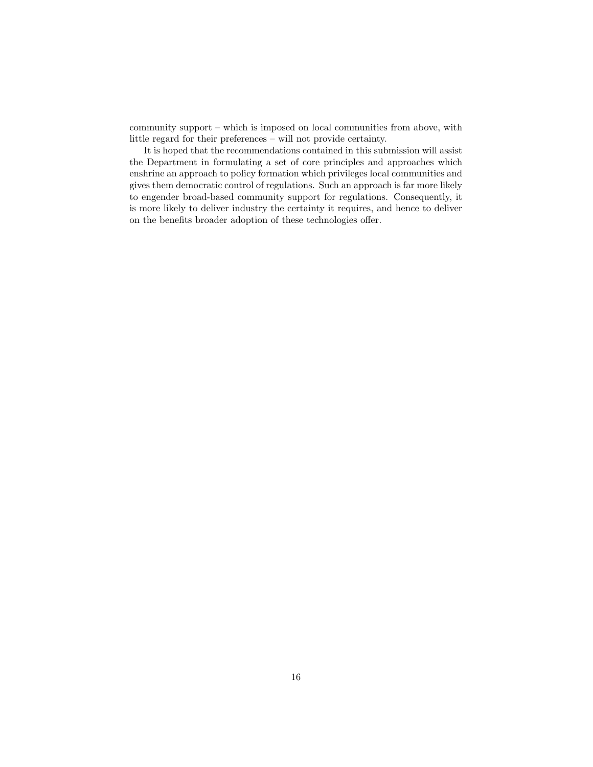community support – which is imposed on local communities from above, with little regard for their preferences – will not provide certainty.

It is hoped that the recommendations contained in this submission will assist the Department in formulating a set of core principles and approaches which enshrine an approach to policy formation which privileges local communities and gives them democratic control of regulations. Such an approach is far more likely to engender broad-based community support for regulations. Consequently, it is more likely to deliver industry the certainty it requires, and hence to deliver on the benefits broader adoption of these technologies offer.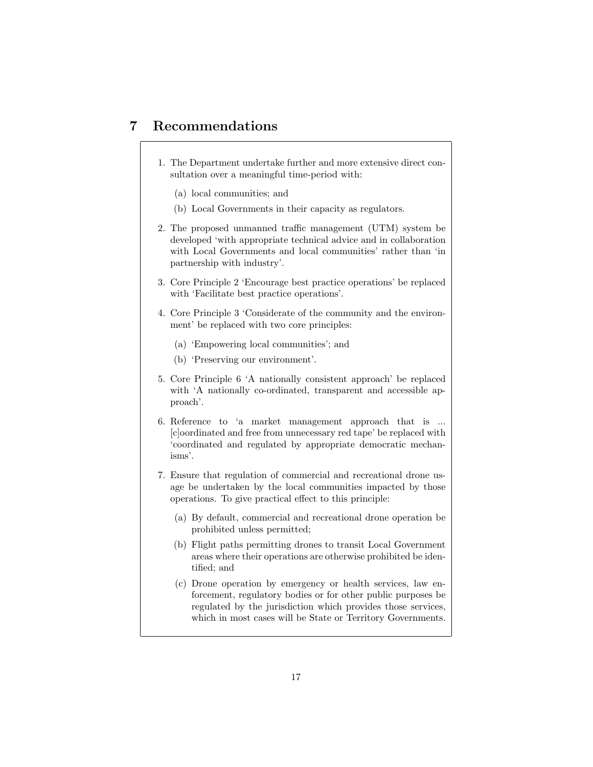## 7 Recommendations

- 1. The Department undertake further and more extensive direct consultation over a meaningful time-period with:
	- (a) local communities; and
	- (b) Local Governments in their capacity as regulators.
- 2. The proposed unmanned traffic management (UTM) system be developed 'with appropriate technical advice and in collaboration with Local Governments and local communities' rather than 'in partnership with industry'.
- 3. Core Principle 2 'Encourage best practice operations' be replaced with 'Facilitate best practice operations'.
- 4. Core Principle 3 'Considerate of the community and the environment' be replaced with two core principles:
	- (a) 'Empowering local communities'; and
	- (b) 'Preserving our environment'.
- 5. Core Principle 6 'A nationally consistent approach' be replaced with 'A nationally co-ordinated, transparent and accessible approach'.
- 6. Reference to 'a market management approach that is ... [c]oordinated and free from unnecessary red tape' be replaced with 'coordinated and regulated by appropriate democratic mechanisms'.
- 7. Ensure that regulation of commercial and recreational drone usage be undertaken by the local communities impacted by those operations. To give practical effect to this principle:
	- (a) By default, commercial and recreational drone operation be prohibited unless permitted;
	- (b) Flight paths permitting drones to transit Local Government areas where their operations are otherwise prohibited be identified; and
	- (c) Drone operation by emergency or health services, law enforcement, regulatory bodies or for other public purposes be regulated by the jurisdiction which provides those services, which in most cases will be State or Territory Governments.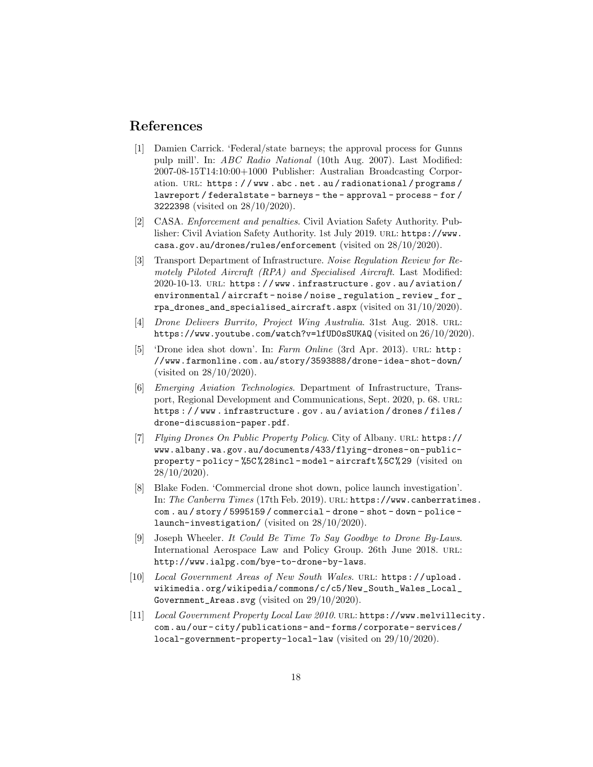### References

- [1] Damien Carrick. 'Federal/state barneys; the approval process for Gunns pulp mill'. In: ABC Radio National (10th Aug. 2007). Last Modified: 2007-08-15T14:10:00+1000 Publisher: Australian Broadcasting Corporation. URL: https://www.abc.net.au/radionational/programs/ lawreport / federalstate - barneys - the - approval - process - for / 3222398 (visited on 28/10/2020).
- [2] CASA. Enforcement and penalties. Civil Aviation Safety Authority. Publisher: Civil Aviation Safety Authority. 1st July 2019. url: https://www. casa.gov.au/drones/rules/enforcement (visited on 28/10/2020).
- [3] Transport Department of Infrastructure. Noise Regulation Review for Remotely Piloted Aircraft (RPA) and Specialised Aircraft. Last Modified: 2020-10-13. url: https : / / www . infrastructure . gov . au / aviation / environmental / aircraft - noise / noise \_ regulation \_ review \_ for \_ rpa\_drones\_and\_specialised\_aircraft.aspx (visited on 31/10/2020).
- [4] Drone Delivers Burrito, Project Wing Australia. 31st Aug. 2018. URL: https://www.youtube.com/watch?v=lfUD0sSUKAQ (visited on 26/10/2020).
- [5] 'Drone idea shot down'. In: Farm Online (3rd Apr. 2013). url: http: //www.farmonline.com.au/story/3593888/drone-idea-shot-down/ (visited on 28/10/2020).
- [6] Emerging Aviation Technologies. Department of Infrastructure, Transport, Regional Development and Communications, Sept. 2020, p. 68. URL: https : / / www . infrastructure . gov . au / aviation / drones / files / drone-discussion-paper.pdf.
- [7] Flying Drones On Public Property Policy. City of Albany. URL: https:// www.albany.wa.gov.au/documents/433/flying-drones-on-publicproperty - policy - %5C % 28incl - model - aircraft % 5C % 29 (visited on 28/10/2020).
- [8] Blake Foden. 'Commercial drone shot down, police launch investigation'. In: The Canberra Times (17th Feb. 2019). url: https://www.canberratimes. com. au / story / 5995159 / commercial - drone - shot - down - police launch-investigation/ (visited on 28/10/2020).
- [9] Joseph Wheeler. It Could Be Time To Say Goodbye to Drone By-Laws. International Aerospace Law and Policy Group. 26th June 2018. URL: http://www.ialpg.com/bye-to-drone-by-laws.
- [10] Local Government Areas of New South Wales. url: https://upload. wikimedia.org/wikipedia/commons/c/c5/New\_South\_Wales\_Local\_ Government\_Areas.svg (visited on 29/10/2020).
- [11] Local Government Property Local Law 2010. url: https://www.melvillecity. com.au/our- city/publications- and- forms/corporate- services/ local-government-property-local-law (visited on 29/10/2020).